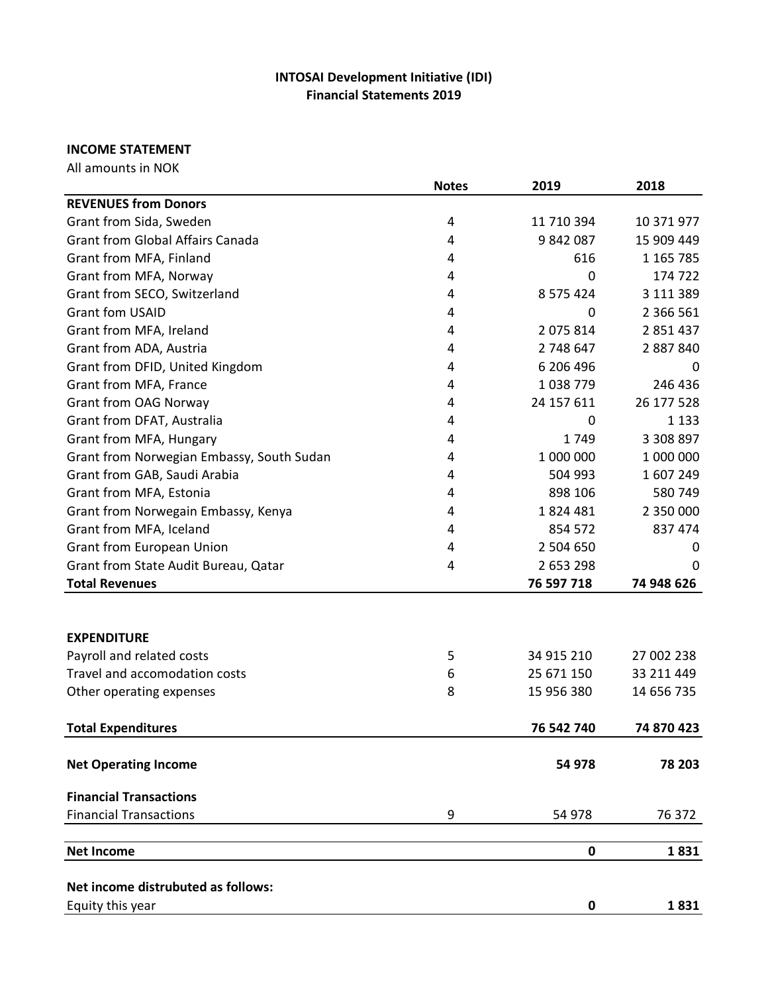# **INTOSAI Development Initiative (IDI) Financial Statements 2019**

## **INCOME STATEMENT**

All amounts in NOK

|                                           | <b>Notes</b> | 2019       | 2018          |
|-------------------------------------------|--------------|------------|---------------|
| <b>REVENUES from Donors</b>               |              |            |               |
| Grant from Sida, Sweden                   | 4            | 11 710 394 | 10 371 977    |
| <b>Grant from Global Affairs Canada</b>   | 4            | 9842087    | 15 909 449    |
| Grant from MFA, Finland                   | 4            | 616        | 1 165 785     |
| Grant from MFA, Norway                    | 4            | $\Omega$   | 174 722       |
| Grant from SECO, Switzerland              | 4            | 8 575 424  | 3 111 389     |
| <b>Grant fom USAID</b>                    | 4            | $\Omega$   | 2 3 6 5 5 6 1 |
| Grant from MFA, Ireland                   | 4            | 2 075 814  | 2 851 437     |
| Grant from ADA, Austria                   | 4            | 2 748 647  | 2 887 840     |
| Grant from DFID, United Kingdom           | 4            | 6 206 496  | 0             |
| Grant from MFA, France                    | 4            | 1038779    | 246 436       |
| Grant from OAG Norway                     | 4            | 24 157 611 | 26 177 528    |
| Grant from DFAT, Australia                | 4            | 0          | 1 1 3 3       |
| Grant from MFA, Hungary                   | 4            | 1749       | 3 308 897     |
| Grant from Norwegian Embassy, South Sudan | 4            | 1 000 000  | 1 000 000     |
| Grant from GAB, Saudi Arabia              | 4            | 504 993    | 1607249       |
| Grant from MFA, Estonia                   | 4            | 898 106    | 580 749       |
| Grant from Norwegain Embassy, Kenya       | 4            | 1824481    | 2 350 000     |
| Grant from MFA, Iceland                   | 4            | 854 572    | 837 474       |
| Grant from European Union                 | 4            | 2 504 650  | 0             |
| Grant from State Audit Bureau, Qatar      | 4            | 2 653 298  | 0             |
| <b>Total Revenues</b>                     |              | 76 597 718 | 74 948 626    |
|                                           |              |            |               |
|                                           |              |            |               |
| <b>EXPENDITURE</b>                        |              |            |               |
| Payroll and related costs                 | 5            | 34 915 210 | 27 002 238    |
| Travel and accomodation costs             | 6            | 25 671 150 | 33 211 449    |
| Other operating expenses                  | 8            | 15 956 380 | 14 656 735    |
| <b>Total Expenditures</b>                 |              | 76 542 740 | 74 870 423    |
|                                           |              |            |               |
| <b>Net Operating Income</b>               |              | 54 978     | 78 203        |
| <b>Financial Transactions</b>             |              |            |               |
| <b>Financial Transactions</b>             | 9            | 54 978     | 76 372        |
| <b>Net Income</b>                         |              | $\pmb{0}$  | 1831          |
|                                           |              |            |               |
| Net income distrubuted as follows:        |              |            |               |
| Equity this year                          |              | 0          | 1831          |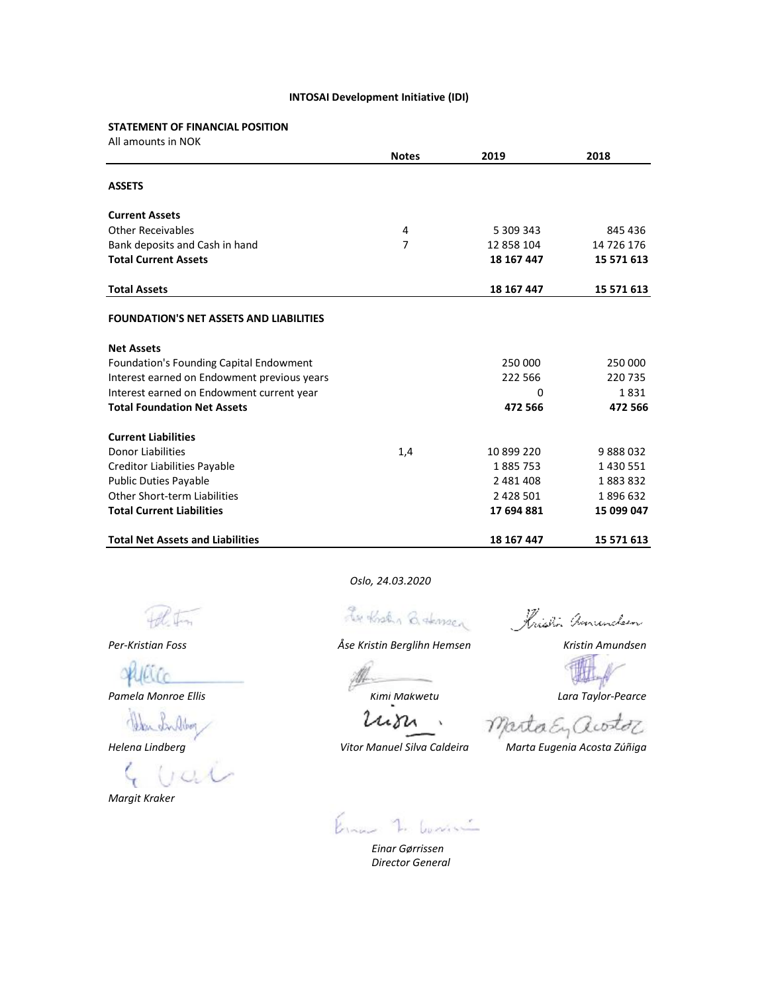## **INTOSAI Development Initiative (IDI)**

#### **STATEMENT OF FINANCIAL POSITION**

| All amounts in NOK |  |  |  |  |
|--------------------|--|--|--|--|
|--------------------|--|--|--|--|

|                                                | <b>Notes</b> | 2019       | 2018          |
|------------------------------------------------|--------------|------------|---------------|
| <b>ASSETS</b>                                  |              |            |               |
| <b>Current Assets</b>                          |              |            |               |
| Other Receivables                              | 4            | 5 309 343  | 845 436       |
| Bank deposits and Cash in hand                 | 7            | 12 858 104 | 14 726 176    |
| <b>Total Current Assets</b>                    |              | 18 167 447 | 15 571 613    |
| <b>Total Assets</b>                            |              | 18 167 447 | 15 571 613    |
| <b>FOUNDATION'S NET ASSETS AND LIABILITIES</b> |              |            |               |
| <b>Net Assets</b>                              |              |            |               |
| Foundation's Founding Capital Endowment        |              | 250 000    | 250 000       |
| Interest earned on Endowment previous years    |              | 222 566    | 220 735       |
| Interest earned on Endowment current year      |              | 0          | 1831          |
| <b>Total Foundation Net Assets</b>             |              | 472 566    | 472 566       |
| <b>Current Liabilities</b>                     |              |            |               |
| <b>Donor Liabilities</b>                       | 1,4          | 10 899 220 | 9888032       |
| Creditor Liabilities Payable                   |              | 1885753    | 1 4 3 0 5 5 1 |
| <b>Public Duties Payable</b>                   |              | 2 481 408  | 1883832       |
| Other Short-term Liabilities                   |              | 2 428 501  | 1896632       |
| <b>Total Current Liabilities</b>               |              | 17 694 881 | 15 099 047    |
| <b>Total Net Assets and Liabilities</b>        |              | 18 167 447 | 15 571 613    |

*Oslo, 24.03.2020* 

fth.

Kristin Turnencheen

Hille

 $400 +$ 

*Pamela Monroe Ellis Kimi Makwetu Lara Taylor-Pearce*

Den Sulbar

 $CL$ 

*Margit Kraker*

Le Kohn Bakmen

*Per-Kristian Foss Åse Kristin Berglihn Hemsen Kristin Amundsen*

JU 1

Marta E, awstor

*Helena Lindberg Vitor Manuel Silva Caldeira Marta Eugenia Acosta Zúñiga*

Luri

Erna 7. Comme

*Einar Gørrissen Director General*